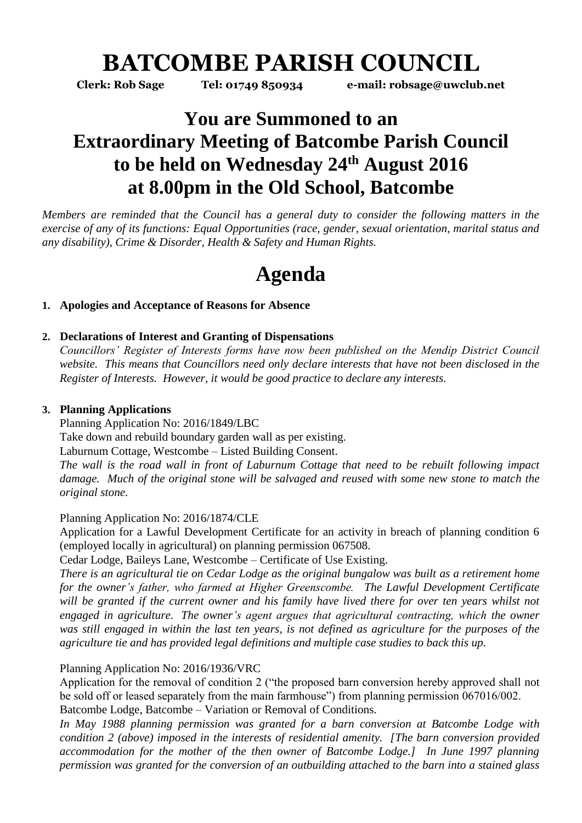# **BATCOMBE PARISH COUNCIL**

**Clerk: Rob Sage Tel: 01749 850934 e-mail: robsage@uwclub.net**

## **You are Summoned to an Extraordinary Meeting of Batcombe Parish Council to be held on Wednesday 24 th August 2016 at 8.00pm in the Old School, Batcombe**

*Members are reminded that the Council has a general duty to consider the following matters in the exercise of any of its functions: Equal Opportunities (race, gender, sexual orientation, marital status and any disability), Crime & Disorder, Health & Safety and Human Rights.* 

# **Agenda**

### **1. Apologies and Acceptance of Reasons for Absence**

### **2. Declarations of Interest and Granting of Dispensations**

*Councillors' Register of Interests forms have now been published on the Mendip District Council website. This means that Councillors need only declare interests that have not been disclosed in the Register of Interests. However, it would be good practice to declare any interests.*

### **3. Planning Applications**

Planning Application No: 2016/1849/LBC Take down and rebuild boundary garden wall as per existing. Laburnum Cottage, Westcombe – Listed Building Consent. *The wall is the road wall in front of Laburnum Cottage that need to be rebuilt following impact damage. Much of the original stone will be salvaged and reused with some new stone to match the original stone.*

#### Planning Application No: 2016/1874/CLE

Application for a Lawful Development Certificate for an activity in breach of planning condition 6 (employed locally in agricultural) on planning permission 067508.

Cedar Lodge, Baileys Lane, Westcombe – Certificate of Use Existing.

*There is an agricultural tie on Cedar Lodge as the original bungalow was built as a retirement home for the owner's father, who farmed at Higher Greenscombe. The Lawful Development Certificate will be granted if the current owner and his family have lived there for over ten years whilst not engaged in agriculture. The owner's agent argues that agricultural contracting, which the owner*  was still engaged in within the last ten years, is not defined as agriculture for the purposes of the *agriculture tie and has provided legal definitions and multiple case studies to back this up.*

### Planning Application No: 2016/1936/VRC

Application for the removal of condition 2 ("the proposed barn conversion hereby approved shall not be sold off or leased separately from the main farmhouse") from planning permission 067016/002. Batcombe Lodge, Batcombe – Variation or Removal of Conditions.

*In May 1988 planning permission was granted for a barn conversion at Batcombe Lodge with condition 2 (above) imposed in the interests of residential amenity. [The barn conversion provided accommodation for the mother of the then owner of Batcombe Lodge.] In June 1997 planning permission was granted for the conversion of an outbuilding attached to the barn into a stained glass*